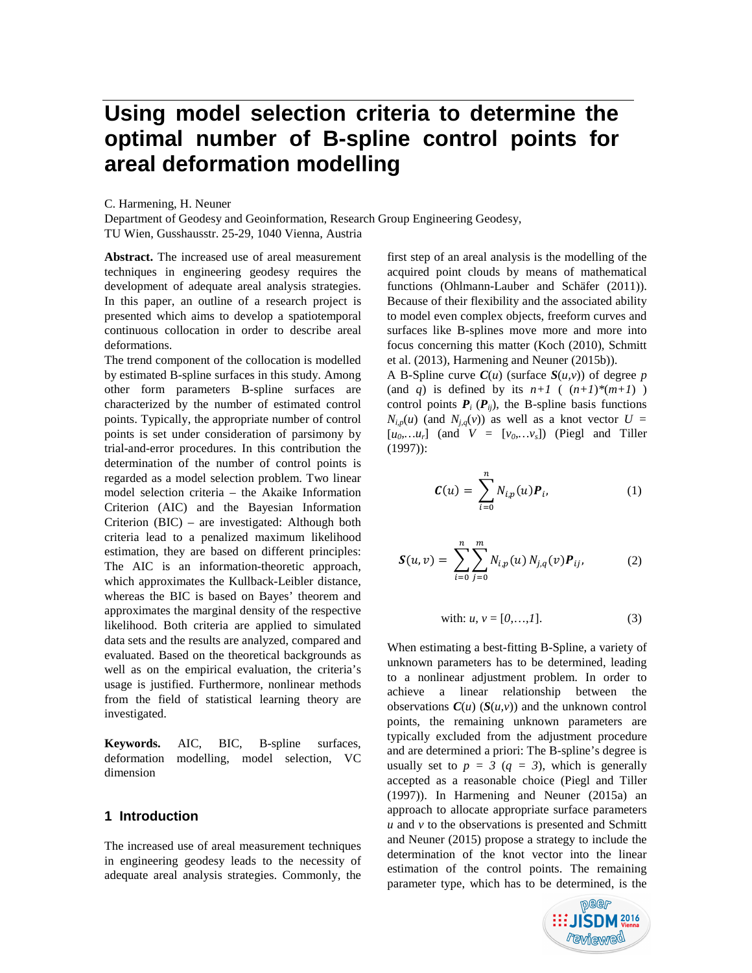# **Using model selection criteria to determine the optimal number of B-spline control points for areal deformation modelling**

C. Harmening, H. Neuner

Department of Geodesy and Geoinformation, Research Group Engineering Geodesy, TU Wien, Gusshausstr. 25-29, 1040 Vienna, Austria

**Abstract.** The increased use of areal measurement techniques in engineering geodesy requires the development of adequate areal analysis strategies. In this paper, an outline of a research project is presented which aims to develop a spatiotemporal continuous collocation in order to describe areal deformations.

The trend component of the collocation is modelled by estimated B-spline surfaces in this study. Among other form parameters B-spline surfaces are characterized by the number of estimated control points. Typically, the appropriate number of control points is set under consideration of parsimony by trial-and-error procedures. In this contribution the determination of the number of control points is regarded as a model selection problem. Two linear model selection criteria – the Akaike Information Criterion (AIC) and the Bayesian Information Criterion (BIC) – are investigated: Although both criteria lead to a penalized maximum likelihood estimation, they are based on different principles: The AIC is an information-theoretic approach, which approximates the Kullback-Leibler distance, whereas the BIC is based on Bayes' theorem and approximates the marginal density of the respective likelihood. Both criteria are applied to simulated data sets and the results are analyzed, compared and evaluated. Based on the theoretical backgrounds as well as on the empirical evaluation, the criteria's usage is justified. Furthermore, nonlinear methods from the field of statistical learning theory are investigated.

**Keywords.** AIC, BIC, B-spline surfaces, deformation modelling, model selection, VC dimension

## **1 Introduction**

The increased use of areal measurement techniques in engineering geodesy leads to the necessity of adequate areal analysis strategies. Commonly, the

first step of an areal analysis is the modelling of the acquired point clouds by means of mathematical functions (Ohlmann-Lauber and Schäfer (2011)). Because of their flexibility and the associated ability to model even complex objects, freeform curves and surfaces like B-splines move more and more into focus concerning this matter (Koch (2010), Schmitt et al. (2013), Harmening and Neuner (2015b)).

A B-Spline curve  $C(u)$  (surface  $S(u, v)$ ) of degree *p* (and *q*) is defined by its  $n+1$  (  $(n+1)*(m+1)$  ) control points  $P_i$  ( $P_{ij}$ ), the B-spline basis functions  $N_{i,p}(u)$  (and  $N_{i,q}(v)$ ) as well as a knot vector  $U =$  $[u_0, u_r]$  (and  $V = [v_0, ..., v_s]$ ) (Piegl and Tiller (1997)):

$$
\mathbf{C}(u) = \sum_{i=0}^{n} N_{i,p}(u) \mathbf{P}_i, \tag{1}
$$

$$
\mathbf{S}(u,v) = \sum_{i=0}^{n} \sum_{j=0}^{m} N_{i,p}(u) N_{j,q}(v) \mathbf{P}_{ij},
$$
 (2)

with: 
$$
u, v = [0,...,1].
$$
 (3)

When estimating a best-fitting B-Spline, a variety of unknown parameters has to be determined, leading to a nonlinear adjustment problem. In order to achieve a linear relationship between the observations  $C(u)$  ( $S(u, v)$ ) and the unknown control points, the remaining unknown parameters are typically excluded from the adjustment procedure and are determined a priori: The B-spline's degree is usually set to  $p = 3$  ( $q = 3$ ), which is generally accepted as a reasonable choice (Piegl and Tiller (1997)). In Harmening and Neuner (2015a) an approach to allocate appropriate surface parameters  *and*  $*v*$  *to the observations is presented and Schmitt* and Neuner (2015) propose a strategy to include the determination of the knot vector into the linear estimation of the control points. The remaining parameter type, which has to be determined, is the

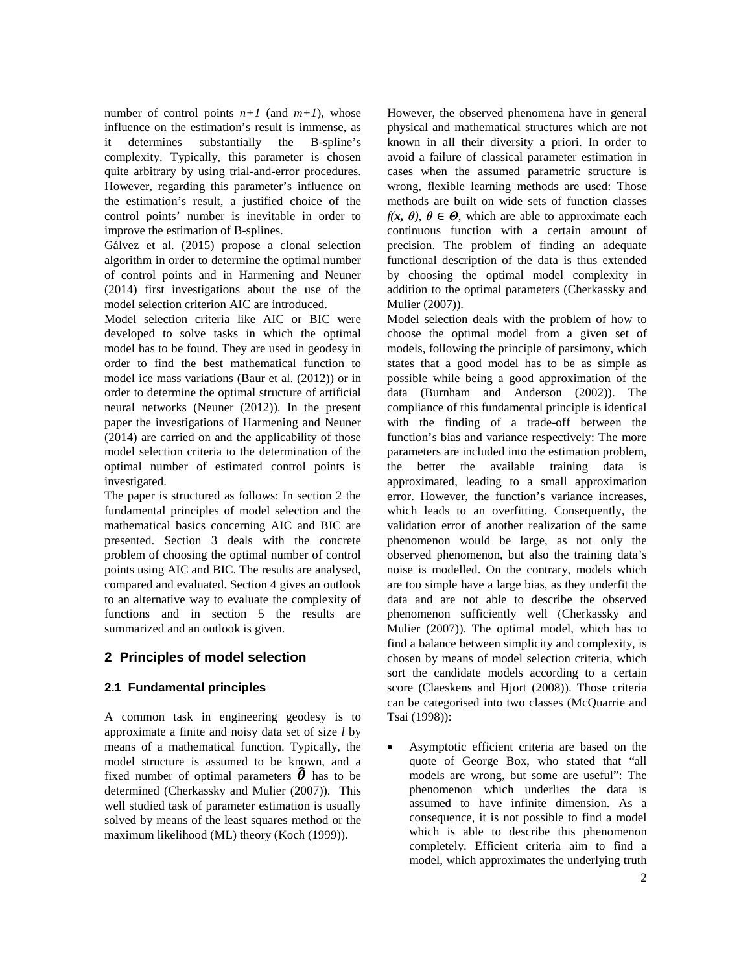number of control points  $n+1$  (and  $m+1$ ), whose influence on the estimation's result is immense, as it determines substantially the B-spline's complexity. Typically, this parameter is chosen quite arbitrary by using trial-and-error procedures. However, regarding this parameter's influence on the estimation's result, a justified choice of the control points' number is inevitable in order to improve the estimation of B-splines.

Gálvez et al. (2015) propose a clonal selection algorithm in order to determine the optimal number of control points and in Harmening and Neuner (2014) first investigations about the use of the model selection criterion AIC are introduced.

Model selection criteria like AIC or BIC were developed to solve tasks in which the optimal model has to be found. They are used in geodesy in order to find the best mathematical function to model ice mass variations (Baur et al. (2012)) or in order to determine the optimal structure of artificial neural networks (Neuner (2012)). In the present paper the investigations of Harmening and Neuner (2014) are carried on and the applicability of those model selection criteria to the determination of the optimal number of estimated control points is investigated.

The paper is structured as follows: In section 2 the fundamental principles of model selection and the mathematical basics concerning AIC and BIC are presented. Section 3 deals with the concrete problem of choosing the optimal number of control points using AIC and BIC. The results are analysed, compared and evaluated. Section 4 gives an outlook to an alternative way to evaluate the complexity of functions and in section 5 the results are summarized and an outlook is given.

## **2 Principles of model selection**

## **2.1 Fundamental principles**

A common task in engineering geodesy is to approximate a finite and noisy data set of size *l* by means of a mathematical function. Typically, the model structure is assumed to be known, and a fixed number of optimal parameters  $\boldsymbol{\theta}$  has to be determined (Cherkassky and Mulier (2007)). This well studied task of parameter estimation is usually solved by means of the least squares method or the maximum likelihood (ML) theory (Koch (1999)).

However, the observed phenomena have in general physical and mathematical structures which are not known in all their diversity a priori. In order to avoid a failure of classical parameter estimation in cases when the assumed parametric structure is wrong, flexible learning methods are used: Those methods are built on wide sets of function classes *f(x,*  $\theta$ *),*  $\theta \in \Theta$ , which are able to approximate each continuous function with a certain amount of precision. The problem of finding an adequate functional description of the data is thus extended by choosing the optimal model complexity in addition to the optimal parameters (Cherkassky and Mulier (2007)).

Model selection deals with the problem of how to choose the optimal model from a given set of models, following the principle of parsimony, which states that a good model has to be as simple as possible while being a good approximation of the data (Burnham and Anderson (2002)). The compliance of this fundamental principle is identical with the finding of a trade-off between the function's bias and variance respectively: The more parameters are included into the estimation problem, the better the available training data is approximated, leading to a small approximation error. However, the function's variance increases, which leads to an overfitting. Consequently, the validation error of another realization of the same phenomenon would be large, as not only the observed phenomenon, but also the training data's noise is modelled. On the contrary, models which are too simple have a large bias, as they underfit the data and are not able to describe the observed phenomenon sufficiently well (Cherkassky and Mulier (2007)). The optimal model, which has to find a balance between simplicity and complexity, is chosen by means of model selection criteria, which sort the candidate models according to a certain score (Claeskens and Hjort (2008)). Those criteria can be categorised into two classes (McQuarrie and Tsai (1998)):

• Asymptotic efficient criteria are based on the quote of George Box, who stated that "all models are wrong, but some are useful": The phenomenon which underlies the data is assumed to have infinite dimension. As a consequence, it is not possible to find a model which is able to describe this phenomenon completely. Efficient criteria aim to find a model, which approximates the underlying truth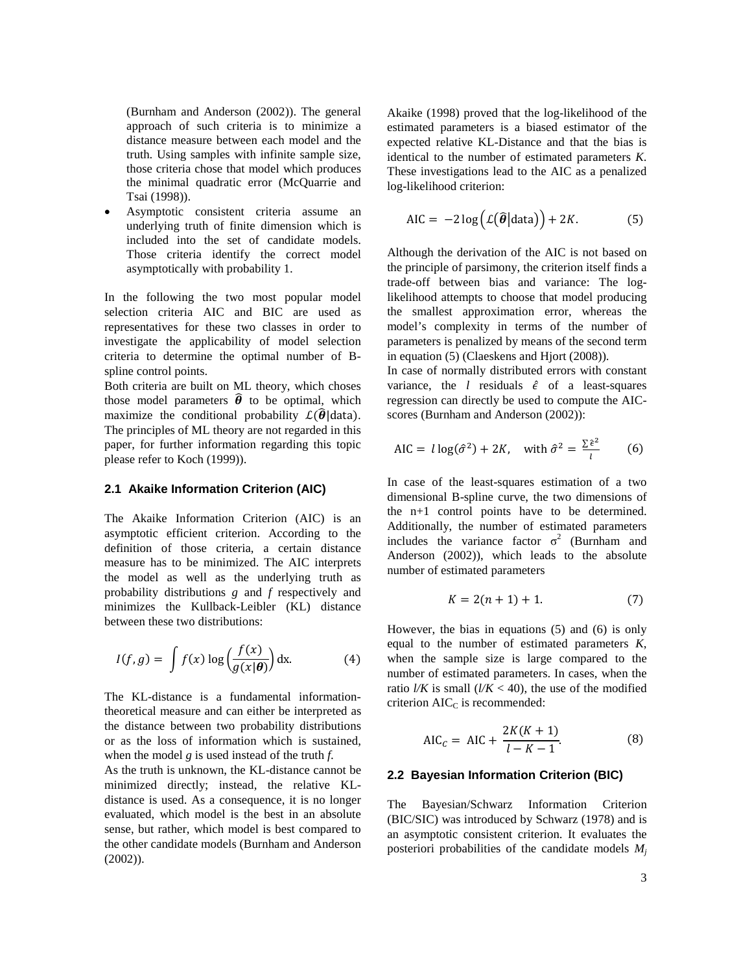(Burnham and Anderson (2002)). The general approach of such criteria is to minimize a distance measure between each model and the truth. Using samples with infinite sample size, those criteria chose that model which produces the minimal quadratic error (McQuarrie and Tsai (1998)).

• Asymptotic consistent criteria assume an underlying truth of finite dimension which is included into the set of candidate models. Those criteria identify the correct model asymptotically with probability 1.

In the following the two most popular model selection criteria AIC and BIC are used as representatives for these two classes in order to investigate the applicability of model selection criteria to determine the optimal number of Bspline control points.

Both criteria are built on ML theory, which choses those model parameters  $\hat{\theta}$  to be optimal, which maximize the conditional probability  $\mathcal{L}(\widehat{\theta})$  data). The principles of ML theory are not regarded in this paper, for further information regarding this topic please refer to Koch (1999)).

#### **2.1 Akaike Information Criterion (AIC)**

The Akaike Information Criterion (AIC) is an asymptotic efficient criterion. According to the definition of those criteria, a certain distance measure has to be minimized. The AIC interprets the model as well as the underlying truth as probability distributions *g* and *f* respectively and minimizes the Kullback-Leibler (KL) distance between these two distributions:

$$
I(f,g) = \int f(x) \log \left( \frac{f(x)}{g(x|\theta)} \right) dx.
$$
 (4)

The KL-distance is a fundamental informationtheoretical measure and can either be interpreted as the distance between two probability distributions or as the loss of information which is sustained, when the model *g* is used instead of the truth *f*.

As the truth is unknown, the KL-distance cannot be minimized directly; instead, the relative KLdistance is used. As a consequence, it is no longer evaluated, which model is the best in an absolute sense, but rather, which model is best compared to the other candidate models (Burnham and Anderson (2002)).

Akaike (1998) proved that the log-likelihood of the estimated parameters is a biased estimator of the expected relative KL-Distance and that the bias is identical to the number of estimated parameters *K*. These investigations lead to the AIC as a penalized log-likelihood criterion:

$$
AIC = -2 \log \left( \mathcal{L}(\widehat{\boldsymbol{\theta}} | \text{data}) \right) + 2K. \tag{5}
$$

Although the derivation of the AIC is not based on the principle of parsimony, the criterion itself finds a trade-off between bias and variance: The loglikelihood attempts to choose that model producing the smallest approximation error, whereas the model's complexity in terms of the number of parameters is penalized by means of the second term in equation (5) (Claeskens and Hjort (2008)).

In case of normally distributed errors with constant variance, the *l* residuals  $\hat{\epsilon}$  of a least-squares regression can directly be used to compute the AICscores (Burnham and Anderson (2002)):

$$
\text{AIC} = l \log(\hat{\sigma}^2) + 2K, \quad \text{with } \hat{\sigma}^2 = \frac{\Sigma \hat{\epsilon}^2}{l} \tag{6}
$$

In case of the least-squares estimation of a two dimensional B-spline curve, the two dimensions of the n+1 control points have to be determined. Additionally, the number of estimated parameters includes the variance factor  $\sigma^2$  (Burnham and Anderson (2002)), which leads to the absolute number of estimated parameters

$$
K = 2(n + 1) + 1.
$$
 (7)

However, the bias in equations (5) and (6) is only equal to the number of estimated parameters *K*, when the sample size is large compared to the number of estimated parameters. In cases, when the ratio  $l/K$  is small  $(l/K < 40)$ , the use of the modified criterion  $AIC<sub>C</sub>$  is recommended:

$$
AIC_{c} = AIC + \frac{2K(K+1)}{l - K - 1}.
$$
 (8)

#### **2.2 Bayesian Information Criterion (BIC)**

The Bayesian/Schwarz Information Criterion (BIC/SIC) was introduced by Schwarz (1978) and is an asymptotic consistent criterion. It evaluates the posteriori probabilities of the candidate models  $M_i$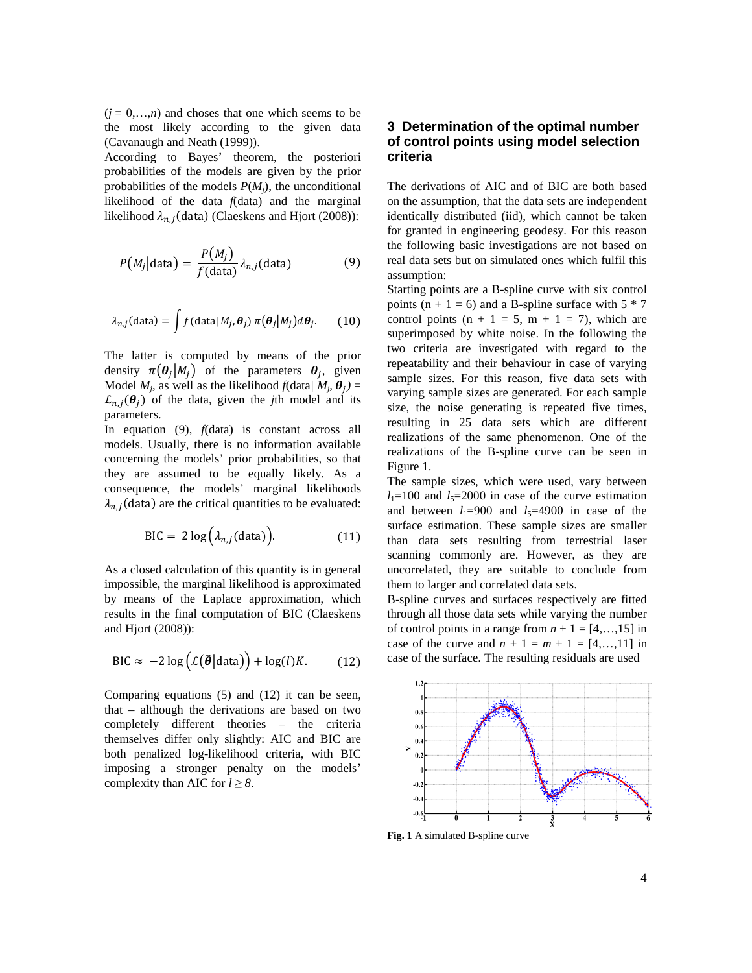$(j = 0, \ldots, n)$  and choses that one which seems to be the most likely according to the given data (Cavanaugh and Neath (1999)).

According to Bayes' theorem, the posteriori probabilities of the models are given by the prior probabilities of the models  $P(M<sub>i</sub>)$ , the unconditional likelihood of the data *f*(data) and the marginal likelihood  $\lambda_{n,i}$ (data) (Claeskens and Hjort (2008)):

$$
P(M_j|\text{data}) = \frac{P(M_j)}{f(\text{data})} \lambda_{n,j}(\text{data})
$$
 (9)

$$
\lambda_{n,j}(\text{data}) = \int f(\text{data} | M_j, \boldsymbol{\theta}_j) \, \pi(\boldsymbol{\theta}_j | M_j) d\boldsymbol{\theta}_j. \tag{10}
$$

The latter is computed by means of the prior density  $\pi(\theta_i|M_i)$  of the parameters  $\theta_i$ , given Model  $M_i$ , as well as the likelihood  $f(\text{data}/M_i, \theta_i)$  =  $\mathcal{L}_{n,i}(\theta_i)$  of the data, given the *j*th model and its parameters.

In equation (9), *f*(data) is constant across all models. Usually, there is no information available concerning the models' prior probabilities, so that they are assumed to be equally likely. As a consequence, the models' marginal likelihoods  $\lambda_{n,j}$ (data) are the critical quantities to be evaluated:

$$
BIC = 2 \log \left( \lambda_{n,j} \text{(data)} \right). \tag{11}
$$

As a closed calculation of this quantity is in general impossible, the marginal likelihood is approximated by means of the Laplace approximation, which results in the final computation of BIC (Claeskens and Hjort (2008)):

$$
\text{BIC} \approx -2\log\left(\mathcal{L}(\widehat{\boldsymbol{\theta}}|\text{data})\right) + \log(l)K. \tag{12}
$$

Comparing equations (5) and (12) it can be seen, that – although the derivations are based on two completely different theories – the criteria themselves differ only slightly: AIC and BIC are both penalized log-likelihood criteria, with BIC imposing a stronger penalty on the models' complexity than AIC for  $l \geq 8$ .

## **3 Determination of the optimal number of control points using model selection criteria**

The derivations of AIC and of BIC are both based on the assumption, that the data sets are independent identically distributed (iid), which cannot be taken for granted in engineering geodesy. For this reason the following basic investigations are not based on real data sets but on simulated ones which fulfil this assumption:

Starting points are a B-spline curve with six control points ( $n + 1 = 6$ ) and a B-spline surface with  $5 * 7$ control points  $(n + 1 = 5, m + 1 = 7)$ , which are superimposed by white noise. In the following the two criteria are investigated with regard to the repeatability and their behaviour in case of varying sample sizes. For this reason, five data sets with varying sample sizes are generated. For each sample size, the noise generating is repeated five times, resulting in 25 data sets which are different realizations of the same phenomenon. One of the realizations of the B-spline curve can be seen in Figure 1.

The sample sizes, which were used, vary between  $l_1=100$  and  $l_5=2000$  in case of the curve estimation and between  $l_1=900$  and  $l_5=4900$  in case of the surface estimation. These sample sizes are smaller than data sets resulting from terrestrial laser scanning commonly are. However, as they are uncorrelated, they are suitable to conclude from them to larger and correlated data sets.

B-spline curves and surfaces respectively are fitted through all those data sets while varying the number of control points in a range from  $n + 1 = [4, \ldots, 15]$  in case of the curve and  $n + 1 = m + 1 = [4,...,11]$  in case of the surface. The resulting residuals are used



**Fig. 1** A simulated B-spline curve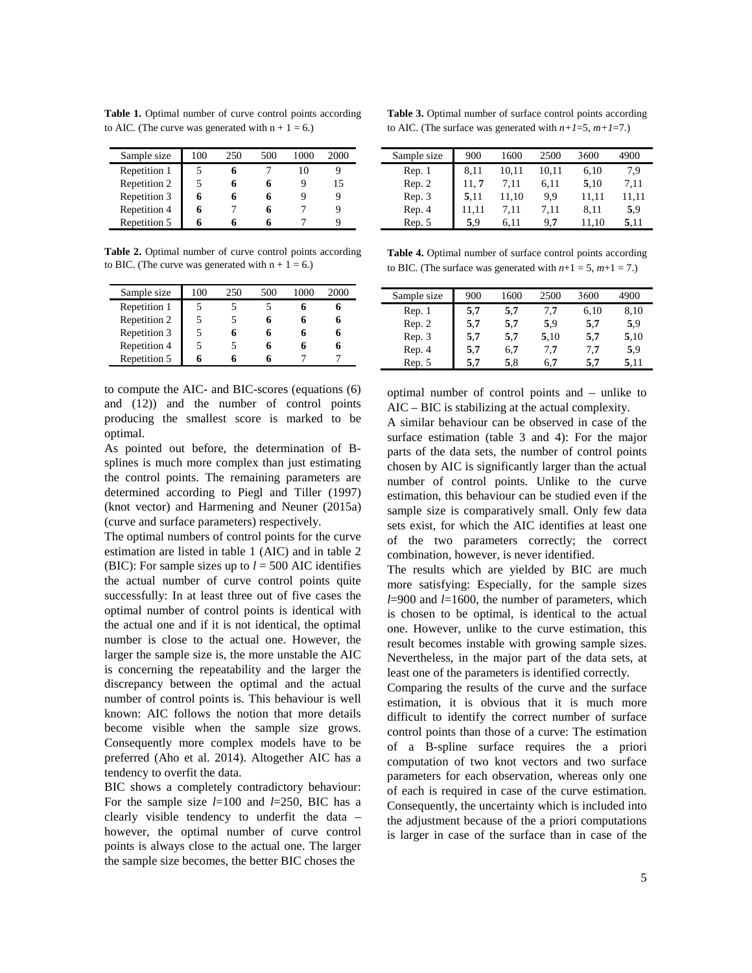**Table 1.** Optimal number of curve control points according to AIC. (The curve was generated with  $n + 1 = 6$ .)

| Sample size  | 100 | 250 | 500 | 1000 | 2000 |
|--------------|-----|-----|-----|------|------|
| Repetition 1 |     |     |     |      |      |
| Repetition 2 |     |     |     |      | 15   |
| Repetition 3 |     |     |     |      |      |
| Repetition 4 |     |     |     |      |      |
| Repetition 5 |     |     |     |      |      |

**Table 2.** Optimal number of curve control points according to BIC. (The curve was generated with  $n + 1 = 6$ .)

| Sample size  | 100 | 250 | 500 | 2000 |
|--------------|-----|-----|-----|------|
| Repetition 1 |     |     |     |      |
| Repetition 2 |     |     |     |      |
| Repetition 3 |     |     |     |      |
| Repetition 4 |     |     |     |      |
| Repetition 5 |     |     |     |      |

to compute the AIC- and BIC-scores (equations (6) and (12)) and the number of control points producing the smallest score is marked to be optimal.

As pointed out before, the determination of Bsplines is much more complex than just estimating the control points. The remaining parameters are determined according to Piegl and Tiller (1997) (knot vector) and Harmening and Neuner (2015a) (curve and surface parameters) respectively.

The optimal numbers of control points for the curve estimation are listed in table 1 (AIC) and in table 2 (BIC): For sample sizes up to  $l = 500$  AIC identifies the actual number of curve control points quite successfully: In at least three out of five cases the optimal number of control points is identical with the actual one and if it is not identical, the optimal number is close to the actual one. However, the larger the sample size is, the more unstable the AIC is concerning the repeatability and the larger the discrepancy between the optimal and the actual number of control points is. This behaviour is well known: AIC follows the notion that more details become visible when the sample size grows. Consequently more complex models have to be preferred (Aho et al. 2014). Altogether AIC has a tendency to overfit the data.

BIC shows a completely contradictory behaviour: For the sample size *l*=100 and *l*=250, BIC has a clearly visible tendency to underfit the data – however, the optimal number of curve control points is always close to the actual one. The larger the sample size becomes, the better BIC choses the

**Table 3.** Optimal number of surface control points according to AIC. (The surface was generated with  $n+1=5$ ,  $m+1=7$ .)

| Sample size | 900   | 1600  | 2500  | 3600  | 4900  |
|-------------|-------|-------|-------|-------|-------|
| Rep. 1      | 8,11  | 10,11 | 10,11 | 6,10  | 7,9   |
| Rep. 2      | 11, 7 | 7.11  | 6.11  | 5,10  | 7.11  |
| Rep. 3      | 5,11  | 11,10 | 9.9   | 11,11 | 11,11 |
| Rep. 4      | 11,11 | 7,11  | 7,11  | 8.11  | 5.9   |
| Rep. 5      | 5.9   | 6.11  | 9.7   | 11,10 | 5,11  |

**Table 4.** Optimal number of surface control points according to BIC. (The surface was generated with  $n+1 = 5$ ,  $m+1 = 7$ .)

| 900 | 1600 | 2500 | 3600 | 4900 |
|-----|------|------|------|------|
| 5,7 | 5.7  | 7.7  | 6,10 | 8,10 |
| 5,7 | 5.7  | 5.9  | 5,7  | 5.9  |
| 5,7 | 5.7  | 5,10 | 5.7  | 5,10 |
| 5.7 | 6.7  | 7.7  | 7.7  | 5.9  |
| 5.7 | 5.8  | 6.7  | 5.7  | 5.11 |
|     |      |      |      |      |

optimal number of control points and – unlike to AIC – BIC is stabilizing at the actual complexity.

A similar behaviour can be observed in case of the surface estimation (table 3 and 4): For the major parts of the data sets, the number of control points chosen by AIC is significantly larger than the actual number of control points. Unlike to the curve estimation, this behaviour can be studied even if the sample size is comparatively small. Only few data sets exist, for which the AIC identifies at least one of the two parameters correctly; the correct combination, however, is never identified.

The results which are yielded by BIC are much more satisfying: Especially, for the sample sizes *l*=900 and *l*=1600, the number of parameters, which is chosen to be optimal, is identical to the actual one. However, unlike to the curve estimation, this result becomes instable with growing sample sizes. Nevertheless, in the major part of the data sets, at least one of the parameters is identified correctly.

Comparing the results of the curve and the surface estimation, it is obvious that it is much more difficult to identify the correct number of surface control points than those of a curve: The estimation of a B-spline surface requires the a priori computation of two knot vectors and two surface parameters for each observation, whereas only one of each is required in case of the curve estimation. Consequently, the uncertainty which is included into the adjustment because of the a priori computations is larger in case of the surface than in case of the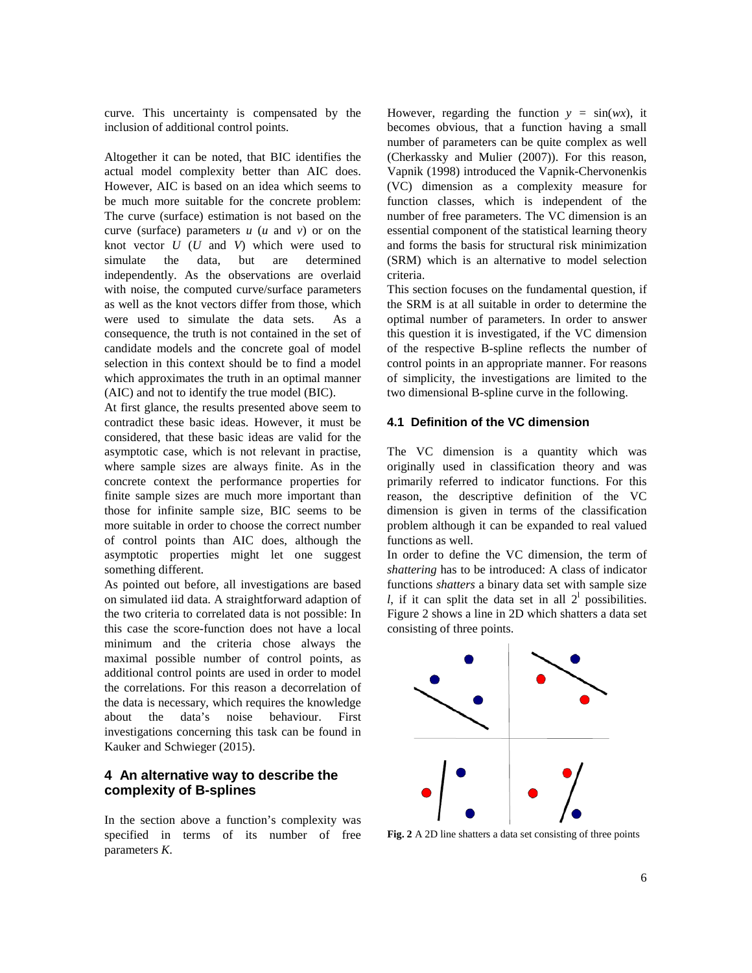curve. This uncertainty is compensated by the inclusion of additional control points.

Altogether it can be noted, that BIC identifies the actual model complexity better than AIC does. However, AIC is based on an idea which seems to be much more suitable for the concrete problem: The curve (surface) estimation is not based on the curve (surface) parameters *u* (*u* and *v*) or on the knot vector *U* (*U* and *V*) which were used to simulate the data, but are determined independently. As the observations are overlaid with noise, the computed curve/surface parameters as well as the knot vectors differ from those, which were used to simulate the data sets. As a consequence, the truth is not contained in the set of candidate models and the concrete goal of model selection in this context should be to find a model which approximates the truth in an optimal manner (AIC) and not to identify the true model (BIC).

At first glance, the results presented above seem to contradict these basic ideas. However, it must be considered, that these basic ideas are valid for the asymptotic case, which is not relevant in practise, where sample sizes are always finite. As in the concrete context the performance properties for finite sample sizes are much more important than those for infinite sample size, BIC seems to be more suitable in order to choose the correct number of control points than AIC does, although the asymptotic properties might let one suggest something different.

As pointed out before, all investigations are based on simulated iid data. A straightforward adaption of the two criteria to correlated data is not possible: In this case the score-function does not have a local minimum and the criteria chose always the maximal possible number of control points, as additional control points are used in order to model the correlations. For this reason a decorrelation of the data is necessary, which requires the knowledge about the data's noise behaviour. First investigations concerning this task can be found in Kauker and Schwieger (2015).

## **4 An alternative way to describe the complexity of B-splines**

In the section above a function's complexity was specified in terms of its number of free parameters *K*.

However, regarding the function  $y = sin(wx)$ , it becomes obvious, that a function having a small number of parameters can be quite complex as well (Cherkassky and Mulier (2007)). For this reason, Vapnik (1998) introduced the Vapnik-Chervonenkis (VC) dimension as a complexity measure for function classes, which is independent of the number of free parameters. The VC dimension is an essential component of the statistical learning theory and forms the basis for structural risk minimization (SRM) which is an alternative to model selection criteria.

This section focuses on the fundamental question, if the SRM is at all suitable in order to determine the optimal number of parameters. In order to answer this question it is investigated, if the VC dimension of the respective B-spline reflects the number of control points in an appropriate manner. For reasons of simplicity, the investigations are limited to the two dimensional B-spline curve in the following.

## **4.1 Definition of the VC dimension**

The VC dimension is a quantity which was originally used in classification theory and was primarily referred to indicator functions. For this reason, the descriptive definition of the VC dimension is given in terms of the classification problem although it can be expanded to real valued functions as well.

In order to define the VC dimension, the term of *shattering* has to be introduced: A class of indicator functions *shatters* a binary data set with sample size *l*, if it can split the data set in all  $2<sup>1</sup>$  possibilities. Figure 2 shows a line in 2D which shatters a data set consisting of three points.



**Fig. 2** A 2D line shatters a data set consisting of three points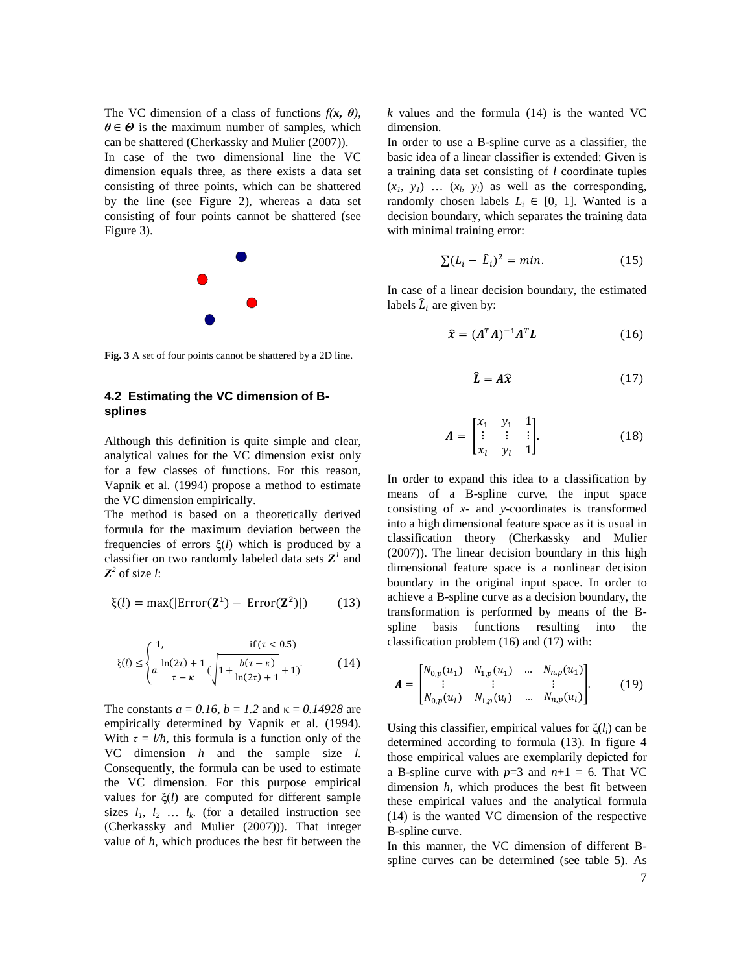The VC dimension of a class of functions  $f(x, \theta)$ ,  $\theta \in \Theta$  is the maximum number of samples, which can be shattered (Cherkassky and Mulier (2007)). In case of the two dimensional line the VC dimension equals three, as there exists a data set consisting of three points, which can be shattered by the line (see Figure 2), whereas a data set consisting of four points cannot be shattered (see Figure 3).



**Fig. 3** A set of four points cannot be shattered by a 2D line.

## **4.2 Estimating the VC dimension of Bsplines**

Although this definition is quite simple and clear, analytical values for the VC dimension exist only for a few classes of functions. For this reason, Vapnik et al. (1994) propose a method to estimate the VC dimension empirically.

The method is based on a theoretically derived formula for the maximum deviation between the frequencies of errors ξ(*l*) which is produced by a classifier on two randomly labeled data sets  $Z^I$  and  $Z^2$  of size *l*:

$$
\xi(l) = \max(|\text{Error}(\mathbf{Z}^1) - \text{Error}(\mathbf{Z}^2)|) \tag{13}
$$

$$
\xi(l) \le \begin{cases} 1, & \text{if } (\tau < 0.5) \\ a \frac{\ln(2\tau) + 1}{\tau - \kappa} (\sqrt{1 + \frac{b(\tau - \kappa)}{\ln(2\tau) + 1}} + 1) \end{cases}
$$
(14)

The constants  $a = 0.16$ ,  $b = 1.2$  and  $\kappa = 0.14928$  are empirically determined by Vapnik et al. (1994). With  $\tau = l/h$ , this formula is a function only of the VC dimension *h* and the sample size *l.* Consequently, the formula can be used to estimate the VC dimension. For this purpose empirical values for ξ(*l*) are computed for different sample sizes  $l_1$ ,  $l_2$  ...  $l_k$ . (for a detailed instruction see (Cherkassky and Mulier (2007))). That integer value of *h*, which produces the best fit between the *k* values and the formula (14) is the wanted VC dimension.

In order to use a B-spline curve as a classifier, the basic idea of a linear classifier is extended: Given is a training data set consisting of *l* coordinate tuples  $(x_1, y_1)$  ...  $(x_1, y_1)$  as well as the corresponding, randomly chosen labels  $L_i \in [0, 1]$ . Wanted is a decision boundary, which separates the training data with minimal training error:

$$
\sum (L_i - \hat{L}_i)^2 = \min. \tag{15}
$$

In case of a linear decision boundary, the estimated labels  $\hat{L}_i$  are given by:

$$
\widehat{\mathbf{x}} = (A^T A)^{-1} A^T L \tag{16}
$$

$$
\hat{L} = A\hat{x} \tag{17}
$$

$$
A = \begin{bmatrix} x_1 & y_1 & 1 \\ \vdots & \vdots & \vdots \\ x_l & y_l & 1 \end{bmatrix} . \tag{18}
$$

In order to expand this idea to a classification by means of a B-spline curve, the input space consisting of *x*- and *y*-coordinates is transformed into a high dimensional feature space as it is usual in classification theory (Cherkassky and Mulier (2007)). The linear decision boundary in this high dimensional feature space is a nonlinear decision boundary in the original input space. In order to achieve a B-spline curve as a decision boundary, the transformation is performed by means of the Bspline basis functions resulting into the classification problem (16) and (17) with:

$$
\mathbf{A} = \begin{bmatrix} N_{0,p}(u_1) & N_{1,p}(u_1) & \dots & N_{n,p}(u_1) \\ \vdots & \vdots & & \vdots \\ N_{0,p}(u_l) & N_{1,p}(u_l) & \dots & N_{n,p}(u_l) \end{bmatrix} . \tag{19}
$$

Using this classifier, empirical values for ξ(*li*) can be determined according to formula (13). In figure 4 those empirical values are exemplarily depicted for a B-spline curve with  $p=3$  and  $n+1 = 6$ . That VC dimension *h*, which produces the best fit between these empirical values and the analytical formula (14) is the wanted VC dimension of the respective B-spline curve.

In this manner, the VC dimension of different Bspline curves can be determined (see table 5). As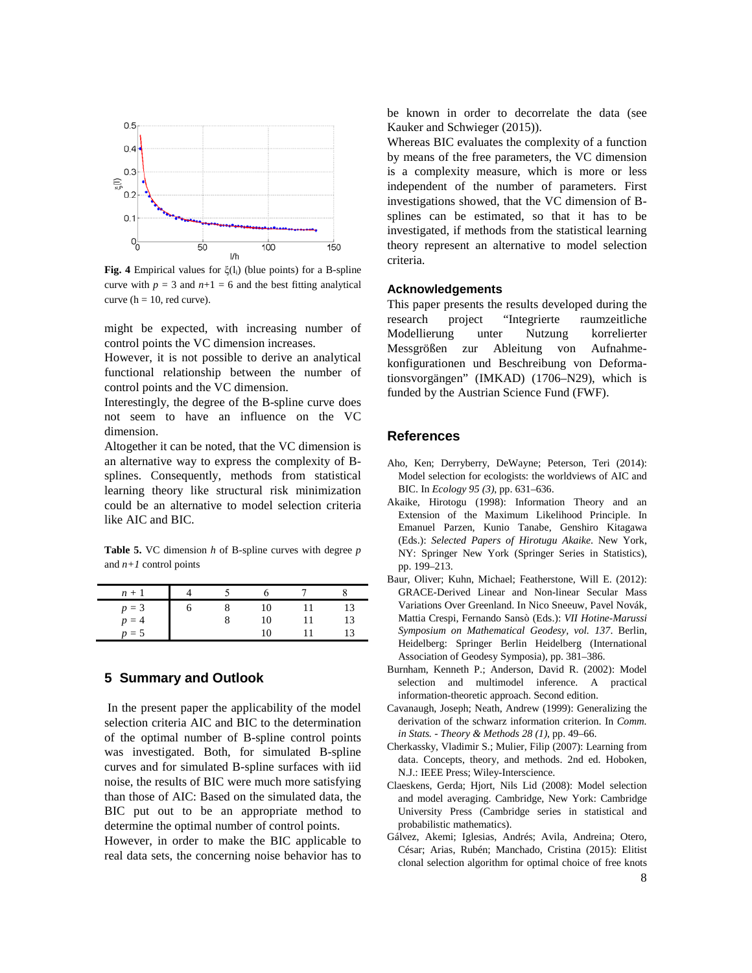

**Fig. 4** Empirical values for ξ(li) (blue points) for a B-spline curve with  $p = 3$  and  $n+1 = 6$  and the best fitting analytical curve ( $h = 10$ , red curve).

might be expected, with increasing number of control points the VC dimension increases.

However, it is not possible to derive an analytical functional relationship between the number of control points and the VC dimension.

Interestingly, the degree of the B-spline curve does not seem to have an influence on the VC dimension.

Altogether it can be noted, that the VC dimension is an alternative way to express the complexity of Bsplines. Consequently, methods from statistical learning theory like structural risk minimization could be an alternative to model selection criteria like AIC and BIC.

**Table 5.** VC dimension *h* of B-spline curves with degree *p* and  $n+1$  control points

| $n +$   |  |  |    |
|---------|--|--|----|
| $p = 3$ |  |  |    |
| $p = 4$ |  |  | l3 |
| $p = 5$ |  |  |    |

## **5 Summary and Outlook**

In the present paper the applicability of the model selection criteria AIC and BIC to the determination of the optimal number of B-spline control points was investigated. Both, for simulated B-spline curves and for simulated B-spline surfaces with iid noise, the results of BIC were much more satisfying than those of AIC: Based on the simulated data, the BIC put out to be an appropriate method to determine the optimal number of control points.

However, in order to make the BIC applicable to real data sets, the concerning noise behavior has to be known in order to decorrelate the data (see Kauker and Schwieger (2015)).

Whereas BIC evaluates the complexity of a function by means of the free parameters, the VC dimension is a complexity measure, which is more or less independent of the number of parameters. First investigations showed, that the VC dimension of Bsplines can be estimated, so that it has to be investigated, if methods from the statistical learning theory represent an alternative to model selection criteria.

## **Acknowledgements**

This paper presents the results developed during the research project "Integrierte raumzeitliche Modellierung unter Nutzung korrelierter Messgrößen zur Ableitung von Aufnahmekonfigurationen und Beschreibung von Deformationsvorgängen" (IMKAD) (1706–N29), which is funded by the Austrian Science Fund (FWF).

## **References**

- Aho, Ken; Derryberry, DeWayne; Peterson, Teri (2014): Model selection for ecologists: the worldviews of AIC and BIC. In *Ecology 95 (3)*, pp. 631–636.
- Akaike, Hirotogu (1998): Information Theory and an Extension of the Maximum Likelihood Principle. In Emanuel Parzen, Kunio Tanabe, Genshiro Kitagawa (Eds.): *Selected Papers of Hirotugu Akaike*. New York, NY: Springer New York (Springer Series in Statistics), pp. 199–213.
- Baur, Oliver; Kuhn, Michael; Featherstone, Will E. (2012): GRACE-Derived Linear and Non-linear Secular Mass Variations Over Greenland. In Nico Sneeuw, Pavel Novák, Mattia Crespi, Fernando Sansò (Eds.): *VII Hotine-Marussi Symposium on Mathematical Geodesy, vol. 137*. Berlin, Heidelberg: Springer Berlin Heidelberg (International Association of Geodesy Symposia), pp. 381–386.
- Burnham, Kenneth P.; Anderson, David R. (2002): Model selection and multimodel inference. A practical information-theoretic approach. Second edition.
- Cavanaugh, Joseph; Neath, Andrew (1999): Generalizing the derivation of the schwarz information criterion. In *Comm. in Stats. - Theory & Methods 28 (1)*, pp. 49–66.
- Cherkassky, Vladimir S.; Mulier, Filip (2007): Learning from data. Concepts, theory, and methods. 2nd ed. Hoboken, N.J.: IEEE Press; Wiley-Interscience.
- Claeskens, Gerda; Hjort, Nils Lid (2008): Model selection and model averaging. Cambridge, New York: Cambridge University Press (Cambridge series in statistical and probabilistic mathematics).
- Gálvez, Akemi; Iglesias, Andrés; Avila, Andreina; Otero, César; Arias, Rubén; Manchado, Cristina (2015): Elitist clonal selection algorithm for optimal choice of free knots